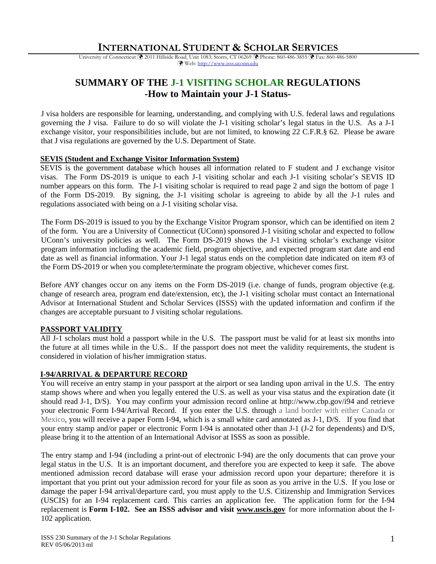# **INTERNATIONAL STUDENT & SCHOLAR SERVICES**

University of Connecticut ( $\bullet$  2011 Hillside Road, Unit 1083; Storrs, CT 06269  $\bullet$  Phone: 860-486-3855  $\bullet$  Fax: 860-486-5800 Web: http://www.isss.uconn.edu

# **SUMMARY OF THE J-1 VISITING SCHOLAR REGULATIONS -How to Maintain your J-1 Status-**

J visa holders are responsible for learning, understanding, and complying with U.S. federal laws and regulations governing the J visa. Failure to do so will violate the J-1 visiting scholar's legal status in the U.S. As a J-1 exchange visitor, your responsibilities include, but are not limited, to knowing 22 C.F.R.§ 62. Please be aware that J visa regulations are governed by the U.S. Department of State.

### **SEVIS (Student and Exchange Visitor Information System)**

SEVIS is the government database which houses all information related to F student and J exchange visitor visas. The Form DS-2019 is unique to each J-1 visiting scholar and each J-1 visiting scholar's SEVIS ID number appears on this form. The J-1 visiting scholar is required to read page 2 and sign the bottom of page 1 of the Form DS-2019. By signing, the J-1 visiting scholar is agreeing to abide by all the J-1 rules and regulations associated with being on a J-1 visiting scholar visa.

The Form DS-2019 is issued to you by the Exchange Visitor Program sponsor, which can be identified on item 2 of the form. You are a University of Connecticut (UConn) sponsored J-1 visiting scholar and expected to follow UConn's university policies as well. The Form DS-2019 shows the J-1 visiting scholar's exchange visitor program information including the academic field, program objective, and expected program start date and end date as well as financial information. Your J-1 legal status ends on the completion date indicated on item #3 of the Form DS-2019 or when you complete/terminate the program objective, whichever comes first.

Before *ANY* changes occur on any items on the Form DS-2019 (i.e. change of funds, program objective (e.g. change of research area, program end date/extension, etc), the J-1 visiting scholar must contact an International Advisor at International Student and Scholar Services (ISSS) with the updated information and confirm if the changes are acceptable pursuant to J visiting scholar regulations.

### **PASSPORT VALIDITY**

All J-1 scholars must hold a passport while in the U.S. The passport must be valid for at least six months into the future at all times while in the U.S.. If the passport does not meet the validity requirements, the student is considered in violation of his/her immigration status.

### **I-94/ARRIVAL & DEPARTURE RECORD**

You will receive an entry stamp in your passport at the airport or sea landing upon arrival in the U.S. The entry stamp shows where and when you legally entered the U.S. as well as your visa status and the expiration date (it should read J-1, D/S). You may confirm your admission record online at http://www.cbp.gov/i94 and retrieve your electronic Form I-94/Arrival Record. If you enter the U.S. through a land border with either Canada or Mexico, you will receive a paper Form I-94, which is a small white card annotated as J-1, D/S. If you find that your entry stamp and/or paper or electronic Form I-94 is annotated other than J-1 (J-2 for dependents) and D/S, please bring it to the attention of an International Advisor at ISSS as soon as possible.

The entry stamp and I-94 (including a print-out of electronic I-94) are the only documents that can prove your legal status in the U.S. It is an important document, and therefore you are expected to keep it safe. The above mentioned admission record database will erase your admission record upon your departure; therefore it is important that you print out your admission record for your file as soon as you arrive in the U.S. If you lose or damage the paper I-94 arrival/departure card, you must apply to the U.S. Citizenship and Immigration Services (USCIS) for an I-94 replacement card. This carries an application fee. The application form for the I-94 replacement is **Form I-102. See an ISSS advisor and visit www.uscis.gov** for more information about the I-102 application.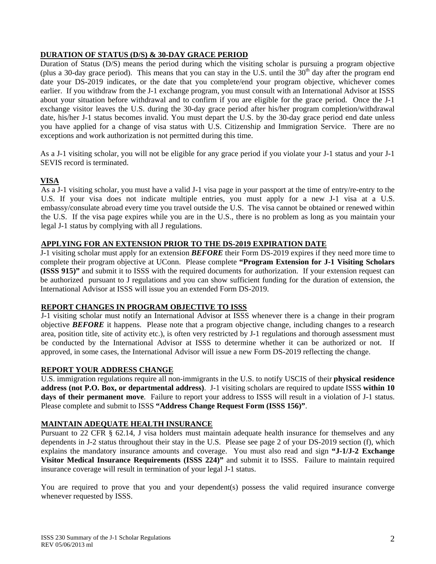# **DURATION OF STATUS (D/S) & 30-DAY GRACE PERIOD**

Duration of Status (D/S) means the period during which the visiting scholar is pursuing a program objective (plus a 30-day grace period). This means that you can stay in the U.S. until the  $30<sup>th</sup>$  day after the program end date your DS-2019 indicates, or the date that you complete/end your program objective, whichever comes earlier. If you withdraw from the J-1 exchange program, you must consult with an International Advisor at ISSS about your situation before withdrawal and to confirm if you are eligible for the grace period. Once the J-1 exchange visitor leaves the U.S. during the 30-day grace period after his/her program completion/withdrawal date, his/her J-1 status becomes invalid. You must depart the U.S. by the 30-day grace period end date unless you have applied for a change of visa status with U.S. Citizenship and Immigration Service. There are no exceptions and work authorization is not permitted during this time.

As a J-1 visiting scholar, you will not be eligible for any grace period if you violate your J-1 status and your J-1 SEVIS record is terminated.

# **VISA**

As a J-1 visiting scholar, you must have a valid J-1 visa page in your passport at the time of entry/re-entry to the U.S. If your visa does not indicate multiple entries, you must apply for a new J-1 visa at a U.S. embassy/consulate abroad every time you travel outside the U.S. The visa cannot be obtained or renewed within the U.S. If the visa page expires while you are in the U.S., there is no problem as long as you maintain your legal J-1 status by complying with all J regulations.

## **APPLYING FOR AN EXTENSION PRIOR TO THE DS-2019 EXPIRATION DATE**

J-1 visiting scholar must apply for an extension *BEFORE* their Form DS-2019 expires if they need more time to complete their program objective at UConn. Please complete **"Program Extension for J-1 Visiting Scholars (ISSS 915)"** and submit it to ISSS with the required documents for authorization.If your extension request can be authorized pursuant to J regulations and you can show sufficient funding for the duration of extension, the International Advisor at ISSS will issue you an extended Form DS-2019.

# **REPORT CHANGES IN PROGRAM OBJECTIVE TO ISSS**

J-1 visiting scholar must notify an International Advisor at ISSS whenever there is a change in their program objective *BEFORE* it happens. Please note that a program objective change, including changes to a research area, position title, site of activity etc.), is often very restricted by J-1 regulations and thorough assessment must be conducted by the International Advisor at ISSS to determine whether it can be authorized or not. If approved, in some cases, the International Advisor will issue a new Form DS-2019 reflecting the change.

### **REPORT YOUR ADDRESS CHANGE**

U.S. immigration regulations require all non-immigrants in the U.S. to notify USCIS of their **physical residence address (not P.O. Box, or departmental address)**. J-1 visiting scholars are required to update ISSS **within 10 days of their permanent move**. Failure to report your address to ISSS will result in a violation of J-1 status. Please complete and submit to ISSS **"Address Change Request Form (ISSS 156)"**.

# **MAINTAIN ADEQUATE HEALTH INSURANCE**

Pursuant to 22 CFR § 62.14, J visa holders must maintain adequate health insurance for themselves and any dependents in J-2 status throughout their stay in the U.S. Please see page 2 of your DS-2019 section (f), which explains the mandatory insurance amounts and coverage. You must also read and sign **"J-1/J-2 Exchange Visitor Medical Insurance Requirements (ISSS 224)"** and submit it to ISSS.Failure to maintain required insurance coverage will result in termination of your legal J-1 status.

You are required to prove that you and your dependent(s) possess the valid required insurance converge whenever requested by ISSS.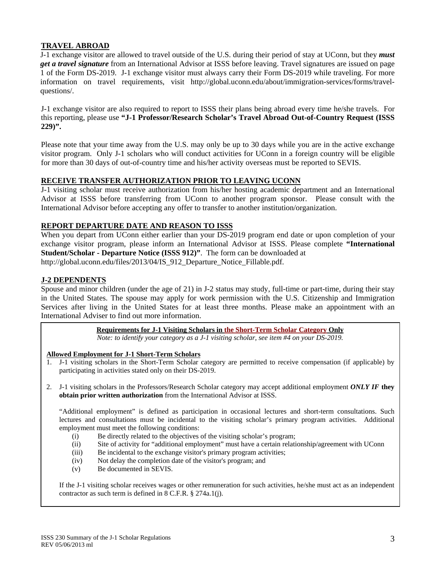## **TRAVEL ABROAD**

J-1 exchange visitor are allowed to travel outside of the U.S. during their period of stay at UConn, but they *must get a travel signature* from an International Advisor at ISSS before leaving. Travel signatures are issued on page 1 of the Form DS-2019. J-1 exchange visitor must always carry their Form DS-2019 while traveling. For more information on travel requirements, visit http://global.uconn.edu/about/immigration-services/forms/travelquestions/.

J-1 exchange visitor are also required to report to ISSS their plans being abroad every time he/she travels. For this reporting, please use **"J-1 Professor/Research Scholar's Travel Abroad Out-of-Country Request (ISSS 229)".** 

Please note that your time away from the U.S. may only be up to 30 days while you are in the active exchange visitor program. Only J-1 scholars who will conduct activities for UConn in a foreign country will be eligible for more than 30 days of out-of-country time and his/her activity overseas must be reported to SEVIS.

### **RECEIVE TRANSFER AUTHORIZATION PRIOR TO LEAVING UCONN**

J-1 visiting scholar must receive authorization from his/her hosting academic department and an International Advisor at ISSS before transferring from UConn to another program sponsor. Please consult with the International Advisor before accepting any offer to transfer to another institution/organization.

### **REPORT DEPARTURE DATE AND REASON TO ISSS**

When you depart from UConn either earlier than your DS-2019 program end date or upon completion of your exchange visitor program, please inform an International Advisor at ISSS. Please complete **"International Student/Scholar - Departure Notice (ISSS 912)"**. The form can be downloaded at http://global.uconn.edu/files/2013/04/IS\_912\_Departure\_Notice\_Fillable.pdf.

## **J-2 DEPENDENTS**

Spouse and minor children (under the age of 21) in J-2 status may study, full-time or part-time, during their stay in the United States. The spouse may apply for work permission with the U.S. Citizenship and Immigration Services after living in the United States for at least three months. Please make an appointment with an International Adviser to find out more information.

**Requirements for J-1 Visiting Scholars in the Short-Term Scholar Category Only** 

*Note: to identify your category as a J-1 visiting scholar, see item #4 on your DS-2019.* 

#### **Allowed Employment for J-1 Short-Term Scholars**

- 1. J-1 visiting scholars in the Short-Term Scholar category are permitted to receive compensation (if applicable) by participating in activities stated only on their DS-2019.
- 2. J-1 visiting scholars in the Professors/Research Scholar category may accept additional employment *ONLY IF* **they obtain prior written authorization** from the International Advisor at ISSS.

"Additional employment" is defined as participation in occasional lectures and short-term consultations. Such lectures and consultations must be incidental to the visiting scholar's primary program activities. Additional employment must meet the following conditions:

- (i) Be directly related to the objectives of the visiting scholar's program;
- (ii) Site of activity for "additional employment" must have a certain relationship/agreement with UConn
- (iii) Be incidental to the exchange visitor's primary program activities;
- (iv) Not delay the completion date of the visitor's program; and
- (v) Be documented in SEVIS.

If the J-1 visiting scholar receives wages or other remuneration for such activities, he/she must act as an independent contractor as such term is defined in 8 C.F.R. § 274a.1(j).